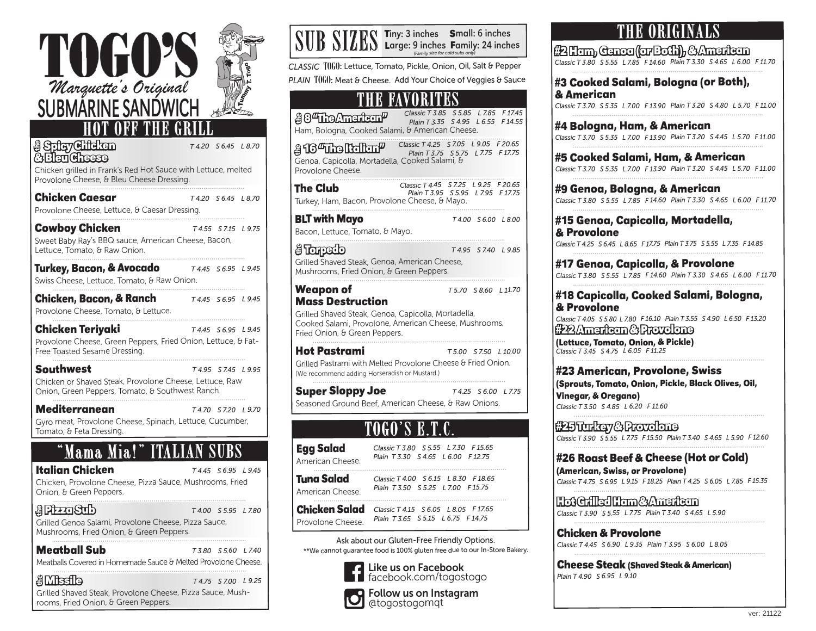

Grilled Shaved Steak, Provolone Cheese, Pizza Sauce, Mushrooms, Fried Onion, & Green Peppers.

| SUB SIZES Tiny: 3 inches Small: 6 inches<br>Supering Large: 9 inches Family: 24 inches                                                                                                       |                                                                            | (Family size for cold subs only)                                           |
|----------------------------------------------------------------------------------------------------------------------------------------------------------------------------------------------|----------------------------------------------------------------------------|----------------------------------------------------------------------------|
| CLASSIC T0G0: Lettuce, Tomato, Pickle, Onion, Oil, Salt & Pepper<br>PLAIN TOGO: Meat & Cheese. Add Your Choice of Veggies & Sauce                                                            |                                                                            |                                                                            |
| E FAV                                                                                                                                                                                        |                                                                            |                                                                            |
| $\frac{30}{\text{Using Mmerltern}}$ Classic T3.85 55.85 L7.85<br>Ham, Bologna, Cooked Salami, & American Cheese.                                                                             |                                                                            | F17.45<br>Plain T 3.35 S 4.95 L 6.55<br>F14.55                             |
| Genoa, Capicolla, Mortadella, Cooked Salami, &<br>Provolone Cheese.                                                                                                                          |                                                                            | $\frac{3}{5}$ 134119 10110 1111 Classic T 4.25 57.05 L 9.05 F 20.65        |
| The Club<br>Turkey, Ham, Bacon, Provolone Cheese, & Mayo.                                                                                                                                    |                                                                            | Classic T 4.45 S 7.25 L 9.25 F 20.65<br>Plain T 3.95 S 5.95 L 7.95 F 17.75 |
| <b>BLT with Mayo</b><br>Bacon, Lettuce, Tomato, & Mayo.                                                                                                                                      |                                                                            | T4.00 S6.00 L8.00                                                          |
| <del>g</del> Tarpedo<br>Grilled Shaved Steak, Genoa, American Cheese,<br>Mushrooms, Fried Onion, & Green Peppers.                                                                            |                                                                            | T4.95 S7.40 L9.85                                                          |
| <b>Weapon of</b><br><b>Mass Destruction</b><br>Grilled Shaved Steak, Genoa, Capicolla, Mortadella,<br>Cooked Salami, Provolone, American Cheese, Mushrooms,<br>Fried Onion, & Green Peppers. |                                                                            | T5.70 S8.60 L11.70                                                         |
| <b>Hot Pastrami</b><br>Grilled Pastrami with Melted Provolone Cheese & Fried Onion.<br>(We recommend adding Horseradish or Mustard.)                                                         |                                                                            | T 5.00<br>S 7.50 L 10.00                                                   |
| <b>Super Sloppy Joe</b><br>Seasoned Ground Beef, American Cheese, & Raw Onions.                                                                                                              |                                                                            | T4.25 S6.00 L7.75                                                          |
|                                                                                                                                                                                              |                                                                            |                                                                            |
| <b>Egg Salad</b><br>American Cheese.                                                                                                                                                         | Classic T 3.80 S 5.55 L 7.30 F 15.65<br>Plain T 3.30 S 4.65 L 6.00 F 12.75 |                                                                            |
| Tuna Salad<br>American Cheese.                                                                                                                                                               | Classic T 4.00 S 6.15 L 8.30 F 18.65<br>Plain T 3.50 S 5.25 L 7.00 F 15.75 |                                                                            |
| Chicken Salad<br>Provolone Cheese.                                                                                                                                                           | Classic T 4.15 S 6.05 L 8.05 F 17.65<br>Plain T 3.65 S 5.15 L 6.75 F 14.75 |                                                                            |
| Ask about our Gluten-Free Friendly Options.<br>**We cannot guarantee food is 100% gluten free due to our In-Store Bakery.<br>Like us on Facebook                                             |                                                                            |                                                                            |
| facebook.com/togostogo                                                                                                                                                                       |                                                                            |                                                                            |

Follow us on Instagram @togostogomqt

## **THE ORIGINALS**

**#2 Ham, Genoa (or Both), & American** *Classic T 3.80 S 5.55 L 7.85 F 14.60 Plain T 3.30 S 4.65 L 6.00 F 11.70*

#### **#3 Cooked Salami, Bologna (or Both), & American**

*Classic T 3.70 S 5.35 L 7.00 F 13.90 Plain T 3.20 S 4.80 L 5.70 F 11.00*

**#4 Bologna, Ham, & American** *Classic T 3.70 S 5.35 L 7.00 F 13.90 Plain T 3.20 S 4.45 L 5.70 F 11.00*

**#5 Cooked Salami, Ham, & American** *Classic T 3.70 S 5.35 L 7.00 F 13.90 Plain T 3.20 S 4.45 L 5.70 F 11.00*

**#9 Genoa, Bologna, & American** *Classic T 3.80 S 5.55 L 7.85 F 14.60 Plain T 3.30 S 4.65 L 6.00 F 11.70*

#### **#15 Genoa, Capicolla, Mortadella, & Provolone**

*Classic T 4.25 S 6.45 L 8.65 F 17.75 Plain T 3.75 S 5.55 L 7.35 F 14.85*

**#17 Genoa, Capicolla, & Provolone** *Classic T 3.80 S 5.55 L 7.85 F 14.60 Plain T 3.30 S 4.65 L 6.00 F 11.70*

#### **#18 Capicolla, Cooked Salami, Bologna, & Provolone**

*Classic T 4.05 S 5.80 L 7.80 F 16.10 Plain T 3.55 S 4.90 L 6.50 F 13.20*  **#22 American & Provolone** 

**(Lettuce, Tomato, Onion, & Pickle)** *Classic T 3.45 S 4.75 L 6.05 F 11.25* 

**#23 American, Provolone, Swiss (Sprouts, Tomato, Onion, Pickle, Black Olives, Oil, Vinegar, & Oregano)**

*Classic T 3.50 S 4.85 L 6.20 F 11.60* 

**#25 Turkey & Provolone** *Classic T 3.90 S 5.55 L 7.75 F 15.50 Plain T 3.40 S 4.65 L 5.90 F 12.60*

### **#26 Roast Beef & Cheese (Hot or Cold)**

**(American, Swiss, or Provolone)** *Classic T 4.75 S 6.95 L 9.15 F 18.25 Plain T 4.25 S 6.05 L 7.85 F 15.35*

**Hot Grilled Ham & American** *Classic T 3.90 S 5.55 L 7.75 Plain T 3.40 S 4.65 L 5.90* 

**Chicken & Provolone** *Classic T 4.45 S 6.90 L 9.35 Plain T 3.95 S 6.00 L 8.05*

**Cheese Steak (Shaved Steak & American)** *Plain T 4.90 S 6.95 L 9.10*